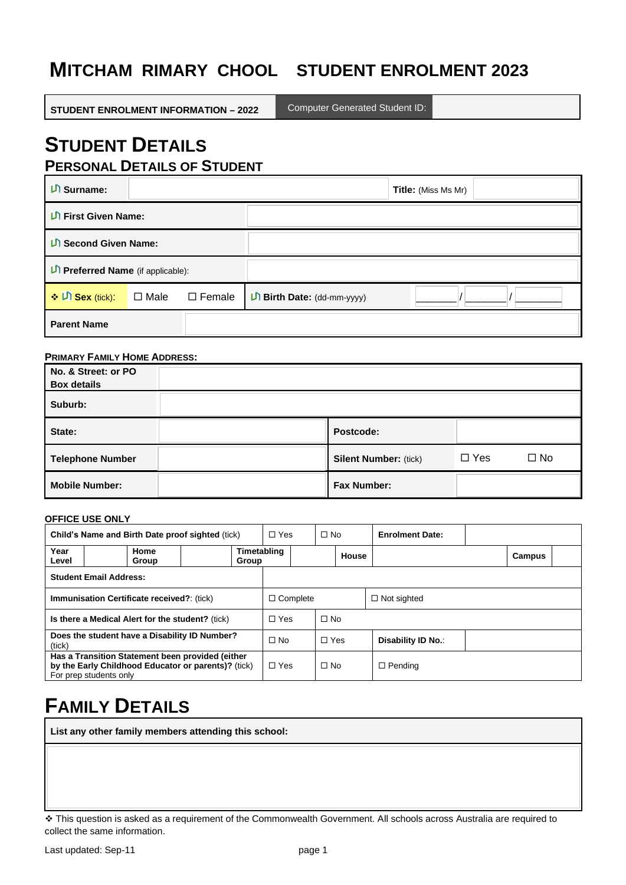# **M ITCHAM RIMARY CHOOL STUDENT ENROLMENT 2023**

**STUDENT ENROLMENT INFORMATION – 2022**

Computer Generated Student ID:

## **STUDENT DETAILS PERSONAL DETAILS OF STUDENT**

| $\mathsf{D}$ Surname:           |             |               |                            | <b>Title:</b> (Miss Ms Mr) |  |
|---------------------------------|-------------|---------------|----------------------------|----------------------------|--|
| <b>LI First Given Name:</b>     |             |               |                            |                            |  |
| <b>U</b> Second Given Name:     |             |               |                            |                            |  |
| Preferred Name (if applicable): |             |               |                            |                            |  |
| ❖ Di Sex (tick):                | $\Box$ Male | $\Box$ Female | D Birth Date: (dd-mm-yyyy) |                            |  |
| <b>Parent Name</b>              |             |               |                            |                            |  |

### **PRIMARY FAMILY HOME ADDRESS:**

| No. & Street: or PO<br><b>Box details</b> |                              |            |           |
|-------------------------------------------|------------------------------|------------|-----------|
| Suburb:                                   |                              |            |           |
| State:                                    | Postcode:                    |            |           |
| <b>Telephone Number</b>                   | <b>Silent Number: (tick)</b> | $\Box$ Yes | $\Box$ No |
| <b>Mobile Number:</b>                     | <b>Fax Number:</b>           |            |           |

### **OFFICE USE ONLY**

| Child's Name and Birth Date proof sighted (tick)                                                                                  |               |  | $\Box$ Yes           | $\Box$ No  |  | <b>Enrolment Date:</b> |  |        |  |
|-----------------------------------------------------------------------------------------------------------------------------------|---------------|--|----------------------|------------|--|------------------------|--|--------|--|
| Year<br>Level                                                                                                                     | Home<br>Group |  | Timetabling<br>Group |            |  | House                  |  | Campus |  |
| <b>Student Email Address:</b>                                                                                                     |               |  |                      |            |  |                        |  |        |  |
| <b>Immunisation Certificate received?: (tick)</b>                                                                                 |               |  | $\Box$ Complete      |            |  | $\Box$ Not sighted     |  |        |  |
| Is there a Medical Alert for the student? (tick)                                                                                  |               |  | $\Box$ Yes           | $\Box$ No  |  |                        |  |        |  |
| Does the student have a Disability ID Number?<br>(tick)                                                                           |               |  | $\Box$ No            | $\Box$ Yes |  | Disability ID No.:     |  |        |  |
| Has a Transition Statement been provided (either<br>by the Early Childhood Educator or parents)? (tick)<br>For prep students only |               |  | $\Box$ Yes           | $\Box$ No  |  | $\Box$ Pending         |  |        |  |

# **FAMILY DETAILS**

**List any other family members attending this school:**

<sup>❖</sup> This question is asked as a requirement of the Commonwealth Government. All schools across Australia are required to collect the same information.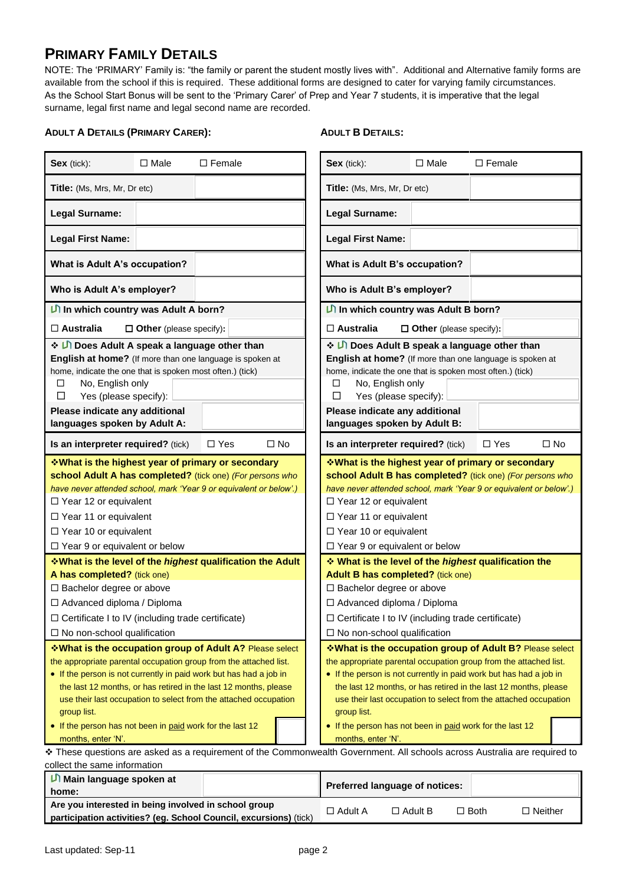## **PRIMARY FAMILY DETAILS**

NOTE: The 'PRIMARY' Family is: "the family or parent the student mostly lives with". Additional and Alternative family forms are available from the school if this is required. These additional forms are designed to cater for varying family circumstances. As the School Start Bonus will be sent to the 'Primary Carer' of Prep and Year 7 students, it is imperative that the legal surname, legal first name and legal second name are recorded.

### **ADULT A DETAILS (PRIMARY CARER):**

### **ADULT B DETAILS:**

| $\square$ Male<br>Sex (tick):                                                                                                                                                                                                                                                                                                                                                                                                                                                                                                                                                                             | $\Box$ Female                                                                                                                                                                                                                                                                                        | Sex (tick):                                                                                                                                                                                                                                                                                                                            | $\Box$ Male                                                                                                                          | $\Box$ Female |           |  |
|-----------------------------------------------------------------------------------------------------------------------------------------------------------------------------------------------------------------------------------------------------------------------------------------------------------------------------------------------------------------------------------------------------------------------------------------------------------------------------------------------------------------------------------------------------------------------------------------------------------|------------------------------------------------------------------------------------------------------------------------------------------------------------------------------------------------------------------------------------------------------------------------------------------------------|----------------------------------------------------------------------------------------------------------------------------------------------------------------------------------------------------------------------------------------------------------------------------------------------------------------------------------------|--------------------------------------------------------------------------------------------------------------------------------------|---------------|-----------|--|
| Title: (Ms, Mrs, Mr, Dr etc)                                                                                                                                                                                                                                                                                                                                                                                                                                                                                                                                                                              |                                                                                                                                                                                                                                                                                                      | Title: (Ms, Mrs, Mr, Dr etc)                                                                                                                                                                                                                                                                                                           |                                                                                                                                      |               |           |  |
| <b>Legal Surname:</b>                                                                                                                                                                                                                                                                                                                                                                                                                                                                                                                                                                                     |                                                                                                                                                                                                                                                                                                      | Legal Surname:                                                                                                                                                                                                                                                                                                                         |                                                                                                                                      |               |           |  |
| <b>Legal First Name:</b>                                                                                                                                                                                                                                                                                                                                                                                                                                                                                                                                                                                  |                                                                                                                                                                                                                                                                                                      | <b>Legal First Name:</b>                                                                                                                                                                                                                                                                                                               |                                                                                                                                      |               |           |  |
| What is Adult A's occupation?                                                                                                                                                                                                                                                                                                                                                                                                                                                                                                                                                                             |                                                                                                                                                                                                                                                                                                      | What is Adult B's occupation?                                                                                                                                                                                                                                                                                                          |                                                                                                                                      |               |           |  |
| Who is Adult A's employer?                                                                                                                                                                                                                                                                                                                                                                                                                                                                                                                                                                                |                                                                                                                                                                                                                                                                                                      | Who is Adult B's employer?                                                                                                                                                                                                                                                                                                             |                                                                                                                                      |               |           |  |
| In which country was Adult A born?                                                                                                                                                                                                                                                                                                                                                                                                                                                                                                                                                                        |                                                                                                                                                                                                                                                                                                      | In which country was Adult B born?                                                                                                                                                                                                                                                                                                     |                                                                                                                                      |               |           |  |
| $\Box$ Australia<br>$\Box$ Other (please specify):                                                                                                                                                                                                                                                                                                                                                                                                                                                                                                                                                        |                                                                                                                                                                                                                                                                                                      | $\Box$ Australia                                                                                                                                                                                                                                                                                                                       | $\Box$ Other (please specify):                                                                                                       |               |           |  |
| ❖ ID Does Adult A speak a language other than<br>English at home? (If more than one language is spoken at<br>home, indicate the one that is spoken most often.) (tick)<br>No, English only<br>□<br>Yes (please specify):<br>□<br>Please indicate any additional<br>languages spoken by Adult A:                                                                                                                                                                                                                                                                                                           |                                                                                                                                                                                                                                                                                                      | Does Adult B speak a language other than<br>English at home? (If more than one language is spoken at<br>home, indicate the one that is spoken most often.) (tick)<br>No, English only<br>□<br>Yes (please specify):<br>⊡<br>Please indicate any additional<br>languages spoken by Adult B:                                             |                                                                                                                                      |               |           |  |
| Is an interpreter required? (tick)                                                                                                                                                                                                                                                                                                                                                                                                                                                                                                                                                                        | $\Box$ Yes<br>$\Box$ No                                                                                                                                                                                                                                                                              | Is an interpreter required? (tick)                                                                                                                                                                                                                                                                                                     |                                                                                                                                      | $\Box$ Yes    | $\Box$ No |  |
| <b>What is the highest year of primary or secondary</b><br>school Adult A has completed? (tick one) (For persons who<br>have never attended school, mark 'Year 9 or equivalent or below'.)<br>$\Box$ Year 12 or equivalent<br>$\Box$ Year 11 or equivalent<br>$\Box$ Year 10 or equivalent<br>$\Box$ Year 9 or equivalent or below                                                                                                                                                                                                                                                                        |                                                                                                                                                                                                                                                                                                      | <b>V</b> What is the highest year of primary or secondary ↓<br>school Adult B has completed? (tick one) (For persons who<br>have never attended school, mark 'Year 9 or equivalent or below'.)<br>$\Box$ Year 12 or equivalent<br>$\Box$ Year 11 or equivalent<br>$\Box$ Year 10 or equivalent<br>$\Box$ Year 9 or equivalent or below |                                                                                                                                      |               |           |  |
| <b>What is the level of the highest qualification the Adult</b>                                                                                                                                                                                                                                                                                                                                                                                                                                                                                                                                           |                                                                                                                                                                                                                                                                                                      | What is the level of the highest qualification the                                                                                                                                                                                                                                                                                     |                                                                                                                                      |               |           |  |
| A has completed? (tick one)                                                                                                                                                                                                                                                                                                                                                                                                                                                                                                                                                                               |                                                                                                                                                                                                                                                                                                      | Adult B has completed? (tick one)                                                                                                                                                                                                                                                                                                      |                                                                                                                                      |               |           |  |
| $\Box$ Bachelor degree or above                                                                                                                                                                                                                                                                                                                                                                                                                                                                                                                                                                           |                                                                                                                                                                                                                                                                                                      | $\Box$ Bachelor degree or above                                                                                                                                                                                                                                                                                                        |                                                                                                                                      |               |           |  |
| $\Box$ Advanced diploma / Diploma                                                                                                                                                                                                                                                                                                                                                                                                                                                                                                                                                                         |                                                                                                                                                                                                                                                                                                      | $\Box$ Advanced diploma / Diploma                                                                                                                                                                                                                                                                                                      |                                                                                                                                      |               |           |  |
| □ Certificate I to IV (including trade certificate)                                                                                                                                                                                                                                                                                                                                                                                                                                                                                                                                                       |                                                                                                                                                                                                                                                                                                      | □ Certificate I to IV (including trade certificate)                                                                                                                                                                                                                                                                                    |                                                                                                                                      |               |           |  |
| $\Box$ No non-school qualification                                                                                                                                                                                                                                                                                                                                                                                                                                                                                                                                                                        |                                                                                                                                                                                                                                                                                                      | $\Box$ No non-school qualification                                                                                                                                                                                                                                                                                                     |                                                                                                                                      |               |           |  |
| *What is the occupation group of Adult A? Please select<br>the appropriate parental occupation group from the attached list.<br>• If the person is not currently in paid work but has had a job in<br>the last 12 months, or has retired in the last 12 months, please<br>use their last occupation to select from the attached occupation<br>group list.<br>• If the person has not been in paid work for the last 12<br>months, enter 'N'.<br>* These questions are asked as a requirement of the Commonwealth Government. All schools across Australia are required to<br>collect the same information | *What is the occupation group of Adult B? Please select<br>the appropriate parental occupation group from the attached list.<br>• If the person is not currently in paid work but has had a job in<br>group list.<br>• If the person has not been in paid work for the last 12<br>months, enter 'N'. |                                                                                                                                                                                                                                                                                                                                        | the last 12 months, or has retired in the last 12 months, please<br>use their last occupation to select from the attached occupation |               |           |  |
| <b>Li</b> Main language spoken at                                                                                                                                                                                                                                                                                                                                                                                                                                                                                                                                                                         |                                                                                                                                                                                                                                                                                                      |                                                                                                                                                                                                                                                                                                                                        |                                                                                                                                      |               |           |  |
| home:                                                                                                                                                                                                                                                                                                                                                                                                                                                                                                                                                                                                     |                                                                                                                                                                                                                                                                                                      | Preferred language of notices:                                                                                                                                                                                                                                                                                                         |                                                                                                                                      |               |           |  |

| nome:                                                             |                |                |             |           |
|-------------------------------------------------------------------|----------------|----------------|-------------|-----------|
| Are you interested in being involved in school group              | $\Box$ Adult A | $\Box$ Adult B | $\Box$ Both | D Neither |
| participation activities? (eg. School Council, excursions) (tick) |                |                |             |           |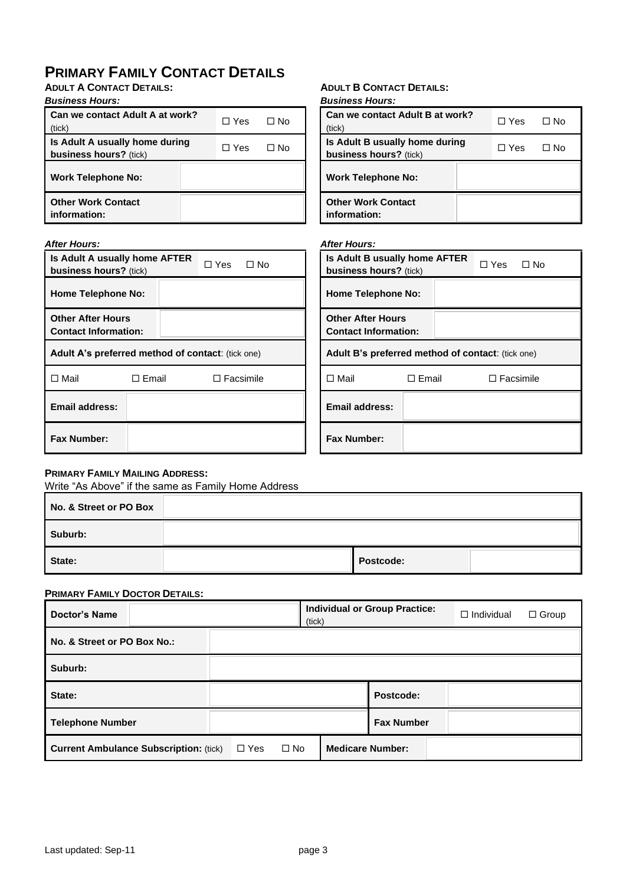## **PRIMARY FAMILY CONTACT DETAILS**

**ADULT A CONTACT DETAILS:**

### *Business Hours:*

| Can we contact Adult A at work?<br>(tick)                       | $\Box$ Yes | □ No |
|-----------------------------------------------------------------|------------|------|
| Is Adult A usually home during<br><b>business hours?</b> (tick) | $\Box$ Yes | ∩ No |
| <b>Work Telephone No:</b>                                       |            |      |
| <b>Other Work Contact</b><br>information:                       |            |      |

#### **ADULT B CONTACT DETAILS:** *Business Hours:*

| PUSIHESS FIUULS.                                                |            |      |
|-----------------------------------------------------------------|------------|------|
| Can we contact Adult B at work?<br>tick)                        | $\Box$ Yes | ⊡ No |
| Is Adult B usually home during<br><b>business hours?</b> (tick) | $\Box$ Yes | □ No |
| <b>Work Telephone No:</b>                                       |            |      |
| <b>Other Work Contact</b><br>information:                       |            |      |

### *After Hours:*

| <b>After Hours:</b>                                      |                                                                                           |                  |                                                         | <b>After Hours:</b>                                     |                         |                  |  |  |
|----------------------------------------------------------|-------------------------------------------------------------------------------------------|------------------|---------------------------------------------------------|---------------------------------------------------------|-------------------------|------------------|--|--|
|                                                          | Is Adult A usually home AFTER<br>$\Box$ Yes<br>$\Box$ No<br><b>business hours?</b> (tick) |                  | Is Adult B usually home AFTER<br>business hours? (tick) |                                                         | $\Box$ Yes<br>$\Box$ No |                  |  |  |
| <b>Home Telephone No:</b>                                |                                                                                           |                  |                                                         | <b>Home Telephone No:</b>                               |                         |                  |  |  |
| <b>Other After Hours</b><br><b>Contact Information:</b>  |                                                                                           |                  |                                                         | <b>Other After Hours</b><br><b>Contact Information:</b> |                         |                  |  |  |
| <b>Adult A's preferred method of contact: (tick one)</b> |                                                                                           |                  |                                                         | Adult B's preferred method of contact: (tick one)       |                         |                  |  |  |
| $\Box$ Mail                                              | $\Box$ Email                                                                              | $\Box$ Facsimile |                                                         | l⊟ Mail                                                 | $\Box$ Email            | $\Box$ Facsimile |  |  |
| Email address:                                           |                                                                                           |                  |                                                         | <b>Email address:</b>                                   |                         |                  |  |  |
| <b>Fax Number:</b>                                       |                                                                                           |                  |                                                         | <b>Fax Number:</b>                                      |                         |                  |  |  |

### **PRIMARY FAMILY MAILING ADDRESS:**

Write "As Above" if the same as Family Home Address

| No. & Street or PO Box |           |  |
|------------------------|-----------|--|
| Suburb:                |           |  |
| State:                 | Postcode: |  |

### **PRIMARY FAMILY DOCTOR DETAILS:**

| <b>Doctor's Name</b>                          | (tick)                  | <b>Individual or Group Practice:</b> | $\Box$ Group<br>$\Box$ Individual |
|-----------------------------------------------|-------------------------|--------------------------------------|-----------------------------------|
| No. & Street or PO Box No.:                   |                         |                                      |                                   |
| Suburb:                                       |                         |                                      |                                   |
| State:                                        |                         | Postcode:                            |                                   |
| <b>Telephone Number</b>                       |                         | <b>Fax Number</b>                    |                                   |
| <b>Current Ambulance Subscription: (tick)</b> | $\Box$ Yes<br>$\Box$ No | <b>Medicare Number:</b>              |                                   |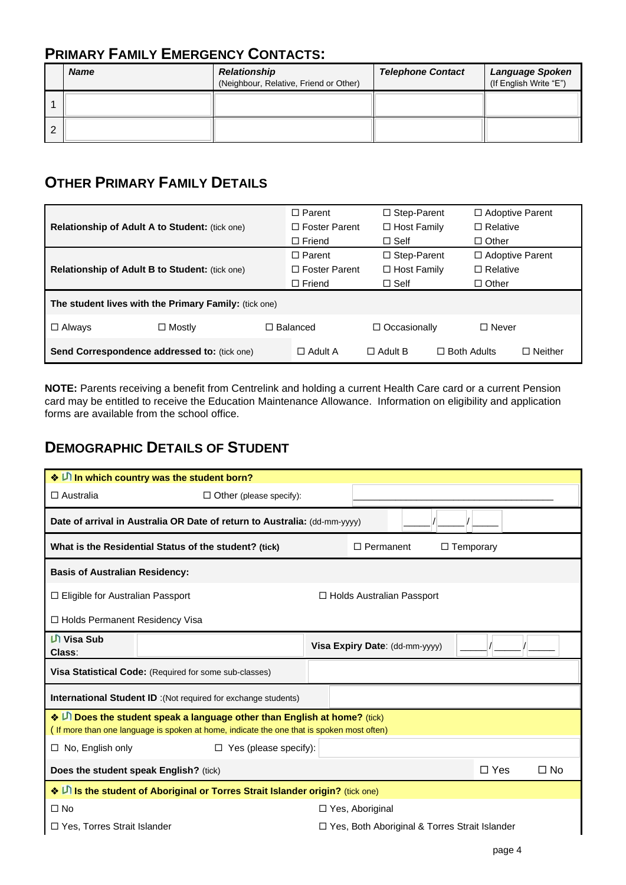## **PRIMARY FAMILY EMERGENCY CONTACTS:**

|   | <b>Name</b> | <b>Relationship</b><br>(Neighbour, Relative, Friend or Other) | <b>Telephone Contact</b> | <b>Language Spoken</b><br>(If English Write "E") |
|---|-------------|---------------------------------------------------------------|--------------------------|--------------------------------------------------|
|   |             |                                                               |                          |                                                  |
| 2 |             |                                                               |                          |                                                  |

## **OTHER PRIMARY FAMILY DETAILS**

|                                                       |               | $\Box$ Parent        | □ Step-Parent       |                    | □ Adoptive Parent      |  |  |
|-------------------------------------------------------|---------------|----------------------|---------------------|--------------------|------------------------|--|--|
| <b>Relationship of Adult A to Student: (tick one)</b> |               | $\Box$ Foster Parent | $\Box$ Host Family  | $\Box$ Relative    |                        |  |  |
|                                                       |               | $\Box$ Friend        | $\Box$ Self         | $\Box$ Other       |                        |  |  |
|                                                       |               | $\Box$ Parent        | □ Step-Parent       |                    | $\Box$ Adoptive Parent |  |  |
| Relationship of Adult B to Student: (tick one)        |               | $\Box$ Foster Parent | $\Box$ Host Family  | $\Box$ Relative    |                        |  |  |
|                                                       |               | $\Box$ Friend        | $\Box$ Self         | $\Box$ Other       |                        |  |  |
| The student lives with the Primary Family: (tick one) |               |                      |                     |                    |                        |  |  |
| $\Box$ Always                                         | $\Box$ Mostly | $\Box$ Balanced      | $\Box$ Occasionally | $\Box$ Never       |                        |  |  |
| <b>Send Correspondence addressed to: (tick one)</b>   |               | $\Box$ Adult A       | $\Box$ Adult B      | $\Box$ Both Adults | $\Box$ Neither         |  |  |

**NOTE:** Parents receiving a benefit from Centrelink and holding a current Health Care card or a current Pension card may be entitled to receive the Education Maintenance Allowance. Information on eligibility and application forms are available from the school office.

## **DEMOGRAPHIC DETAILS OF STUDENT**

|                                                                           | ◆ D In which country was the student born?                                                                                                                            |                   |                                |  |                                                 |           |  |  |  |
|---------------------------------------------------------------------------|-----------------------------------------------------------------------------------------------------------------------------------------------------------------------|-------------------|--------------------------------|--|-------------------------------------------------|-----------|--|--|--|
| $\Box$ Australia                                                          | $\Box$ Other (please specify):                                                                                                                                        |                   |                                |  |                                                 |           |  |  |  |
| Date of arrival in Australia OR Date of return to Australia: (dd-mm-yyyy) |                                                                                                                                                                       |                   |                                |  |                                                 |           |  |  |  |
|                                                                           | $\Box$ Temporary<br>What is the Residential Status of the student? (tick)<br>$\Box$ Permanent                                                                         |                   |                                |  |                                                 |           |  |  |  |
| <b>Basis of Australian Residency:</b>                                     |                                                                                                                                                                       |                   |                                |  |                                                 |           |  |  |  |
| $\Box$ Eligible for Australian Passport<br>□ Holds Australian Passport    |                                                                                                                                                                       |                   |                                |  |                                                 |           |  |  |  |
|                                                                           | □ Holds Permanent Residency Visa                                                                                                                                      |                   |                                |  |                                                 |           |  |  |  |
| Ul Visa Sub<br>Class:                                                     |                                                                                                                                                                       |                   | Visa Expiry Date: (dd-mm-yyyy) |  |                                                 |           |  |  |  |
|                                                                           | Visa Statistical Code: (Required for some sub-classes)                                                                                                                |                   |                                |  |                                                 |           |  |  |  |
|                                                                           | <b>International Student ID</b> : (Not required for exchange students)                                                                                                |                   |                                |  |                                                 |           |  |  |  |
|                                                                           | ◆ D Does the student speak a language other than English at home? (tick)<br>(If more than one language is spoken at home, indicate the one that is spoken most often) |                   |                                |  |                                                 |           |  |  |  |
| $\Box$ No, English only                                                   | $\Box$ Yes (please specify):                                                                                                                                          |                   |                                |  |                                                 |           |  |  |  |
|                                                                           | Does the student speak English? (tick)                                                                                                                                |                   |                                |  | $\Box$ Yes                                      | $\Box$ No |  |  |  |
|                                                                           | ◆ D Is the student of Aboriginal or Torres Strait Islander origin? (tick one)                                                                                         |                   |                                |  |                                                 |           |  |  |  |
| $\square$ No                                                              |                                                                                                                                                                       | □ Yes, Aboriginal |                                |  |                                                 |           |  |  |  |
| Yes, Torres Strait Islander                                               |                                                                                                                                                                       |                   |                                |  | □ Yes, Both Aboriginal & Torres Strait Islander |           |  |  |  |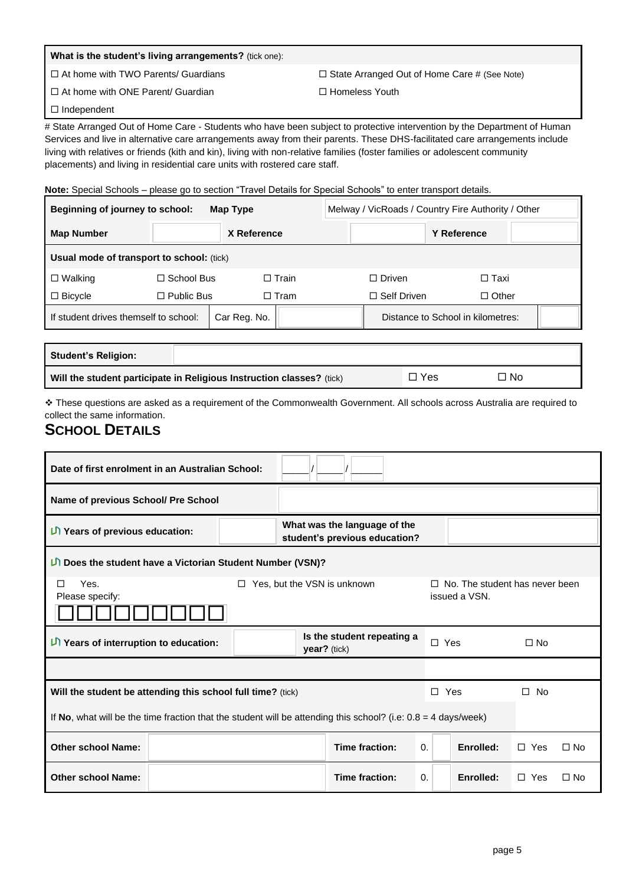| <b>What is the student's living arrangements?</b> (tick one): |                                                     |
|---------------------------------------------------------------|-----------------------------------------------------|
| $\Box$ At home with TWO Parents/ Guardians                    | $\Box$ State Arranged Out of Home Care # (See Note) |
| □ At home with ONE Parent/ Guardian                           | $\Box$ Homeless Youth                               |

 $\Box$ Independent

# State Arranged Out of Home Care - Students who have been subject to protective intervention by the Department of Human Services and live in alternative care arrangements away from their parents. These DHS-facilitated care arrangements include living with relatives or friends (kith and kin), living with non-relative families (foster families or adolescent community placements) and living in residential care units with rostered care staff.

**Note:** Special Schools – please go to section "Travel Details for Special Schools" to enter transport details.

| Beginning of journey to school:<br>Map Type |                   |              |              | Melway / VicRoads / Country Fire Authority / Other |                                    |                                   |  |  |  |  |
|---------------------------------------------|-------------------|--------------|--------------|----------------------------------------------------|------------------------------------|-----------------------------------|--|--|--|--|
| <b>Map Number</b>                           |                   | X Reference  |              |                                                    |                                    | <b>Y</b> Reference                |  |  |  |  |
| Usual mode of transport to school: (tick)   |                   |              |              |                                                    |                                    |                                   |  |  |  |  |
| $\Box$ Walking                              | $\Box$ School Bus |              | $\Box$ Train |                                                    | $\Box$ Driven                      | $\Box$ Taxi                       |  |  |  |  |
| $\Box$ Bicycle                              | $\Box$ Public Bus |              | $\Box$ Tram  |                                                    | $\Box$ Other<br>$\Box$ Self Driven |                                   |  |  |  |  |
| If student drives themself to school:       |                   | Car Reg. No. |              |                                                    |                                    | Distance to School in kilometres: |  |  |  |  |
|                                             |                   |              |              |                                                    |                                    |                                   |  |  |  |  |

| <b>Student's Religion:</b> |                                                                       |       |     |  |
|----------------------------|-----------------------------------------------------------------------|-------|-----|--|
|                            | Will the student participate in Religious Instruction classes? (tick) | ⊐∣Yes | □No |  |

❖ These questions are asked as a requirement of the Commonwealth Government. All schools across Australia are required to collect the same information.

### **SCHOOL DETAILS**

| Date of first enrolment in an Australian School:            |                                                                                                                  |                                                                                       |                                                               |                |  |            |           |            |           |
|-------------------------------------------------------------|------------------------------------------------------------------------------------------------------------------|---------------------------------------------------------------------------------------|---------------------------------------------------------------|----------------|--|------------|-----------|------------|-----------|
| Name of previous School/ Pre School                         |                                                                                                                  |                                                                                       |                                                               |                |  |            |           |            |           |
| <b>Li</b> Years of previous education:                      |                                                                                                                  |                                                                                       | What was the language of the<br>student's previous education? |                |  |            |           |            |           |
| D Does the student have a Victorian Student Number (VSN)?   |                                                                                                                  |                                                                                       |                                                               |                |  |            |           |            |           |
| Yes.<br>◻<br>Please specify:                                |                                                                                                                  | Yes, but the VSN is unknown<br>$\Box$ No. The student has never been<br>issued a VSN. |                                                               |                |  |            |           |            |           |
| $\Box$ Years of interruption to education:                  |                                                                                                                  |                                                                                       | Is the student repeating a<br>$\text{year}$ ? (tick)          |                |  | $\Box$ Yes |           | $\Box$ No  |           |
|                                                             |                                                                                                                  |                                                                                       |                                                               |                |  |            |           |            |           |
| Will the student be attending this school full time? (tick) |                                                                                                                  |                                                                                       |                                                               |                |  | $\Box$ Yes |           | $\Box$ No  |           |
|                                                             | If No, what will be the time fraction that the student will be attending this school? (i.e: $0.8 = 4$ days/week) |                                                                                       |                                                               |                |  |            |           |            |           |
| <b>Other school Name:</b>                                   |                                                                                                                  |                                                                                       |                                                               | Time fraction: |  | $\Omega$ . | Enrolled: | $\Box$ Yes | $\Box$ No |
| <b>Other school Name:</b>                                   |                                                                                                                  |                                                                                       |                                                               | Time fraction: |  | $\Omega$ . | Enrolled: | $\Box$ Yes | ∣⊡ No     |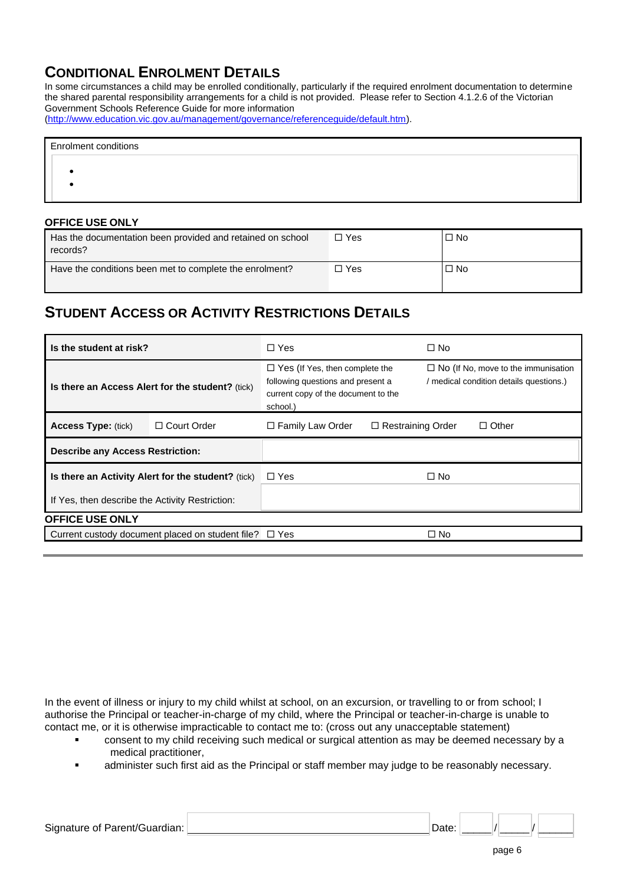## **CONDITIONAL ENROLMENT DETAILS**

In some circumstances a child may be enrolled conditionally, particularly if the required enrolment documentation to determine the shared parental responsibility arrangements for a child is not provided. Please refer to Section 4.1.2.6 of the Victorian Government Schools Reference Guide for more information

[\(http://www.education.vic.gov.au/management/governance/referenceguide/default.htm\)](http://www.education.vic.gov.au/management/governance/referenceguide/default.htm).

| <b>Enrolment conditions</b> |  |  |
|-----------------------------|--|--|
|                             |  |  |
|                             |  |  |
|                             |  |  |

### **OFFICE USE ONLY**

| Has the documentation been provided and retained on school<br>records? | □ Yes | $\square$ No |
|------------------------------------------------------------------------|-------|--------------|
| Have the conditions been met to complete the enrolment?                | コ Yes | $\square$ No |

## **STUDENT ACCESS OR ACTIVITY RESTRICTIONS DETAILS**

| Is the student at risk?                         |                                                    | $\Box$ Yes                                                                                                                    |                          | $\Box$ No                                                                             |              |  |
|-------------------------------------------------|----------------------------------------------------|-------------------------------------------------------------------------------------------------------------------------------|--------------------------|---------------------------------------------------------------------------------------|--------------|--|
|                                                 | Is there an Access Alert for the student? (tick)   | $\Box$ Yes (If Yes, then complete the<br>following questions and present a<br>current copy of the document to the<br>school.) |                          | $\Box$ No (If No, move to the immunisation<br>/ medical condition details questions.) |              |  |
| <b>Access Type: (tick)</b>                      | $\Box$ Court Order                                 | □ Family Law Order                                                                                                            | $\Box$ Restraining Order |                                                                                       | $\Box$ Other |  |
| <b>Describe any Access Restriction:</b>         |                                                    |                                                                                                                               |                          |                                                                                       |              |  |
|                                                 | Is there an Activity Alert for the student? (tick) | $\Box$ Yes                                                                                                                    |                          | $\Box$ No                                                                             |              |  |
| If Yes, then describe the Activity Restriction: |                                                    |                                                                                                                               |                          |                                                                                       |              |  |
| <b>OFFICE USE ONLY</b>                          |                                                    |                                                                                                                               |                          |                                                                                       |              |  |
|                                                 | Current custody document placed on student file?   | □ Yes                                                                                                                         |                          | $\Box$ No                                                                             |              |  |

In the event of illness or injury to my child whilst at school, on an excursion, or travelling to or from school; I authorise the Principal or teacher-in-charge of my child, where the Principal or teacher-in-charge is unable to contact me, or it is otherwise impracticable to contact me to: (cross out any unacceptable statement)

- consent to my child receiving such medical or surgical attention as may be deemed necessary by a medical practitioner,
- administer such first aid as the Principal or staff member may judge to be reasonably necessary.

| Signature of Parent/Guardian: | Date |  |  |  |
|-------------------------------|------|--|--|--|
|                               |      |  |  |  |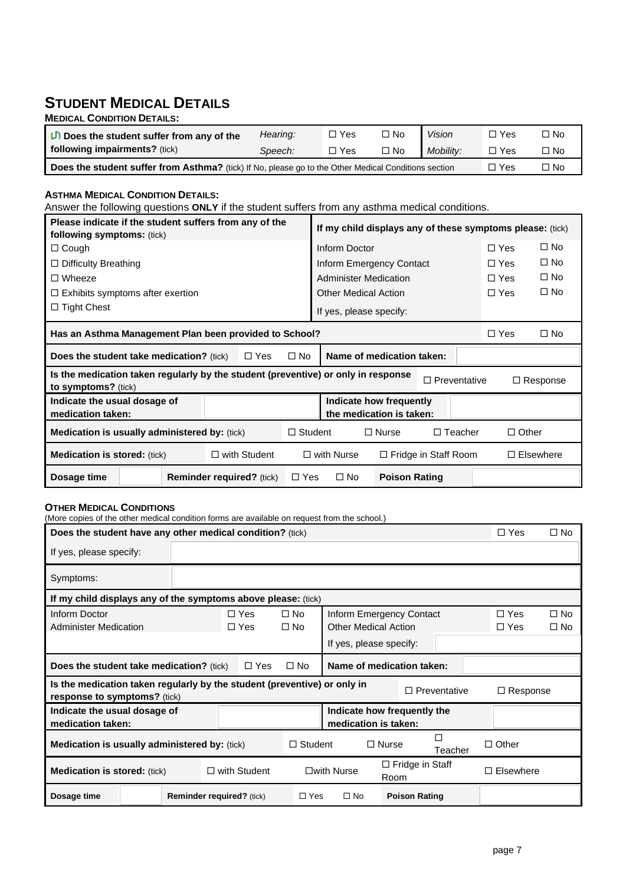### **STUDENT MEDICAL DETAILS MEDICAL CONDITION DETAILS:**

| <b>IVIEDICAL CONDITION DETAILS.</b>                                                                  |          |            |           |           |            |              |
|------------------------------------------------------------------------------------------------------|----------|------------|-----------|-----------|------------|--------------|
| $\Box$ Does the student suffer from any of the                                                       | Hearing: | $\Box$ Yes | $\Box$ No | Vision    | $\Box$ Yes | $\square$ No |
| following impairments? (tick)                                                                        | Speech:  | $\Box$ Yes | $\Box$ No | Mobility: | I⊡ Yes     | '⊡ No        |
| Does the student suffer from Asthma? (tick) If No, please go to the Other Medical Conditions section |          | $\Box$ Yes | $\Box$ No |           |            |              |

### **ASTHMA MEDICAL CONDITION DETAILS:**

Answer the following questions **ONLY** if the student suffers from any asthma medical conditions.

| Please indicate if the student suffers from any of the<br>following symptoms: (tick)                     |                                  | If my child displays any of these symptoms please: (tick) |                                   |                                                     |                     |              |                  |  |
|----------------------------------------------------------------------------------------------------------|----------------------------------|-----------------------------------------------------------|-----------------------------------|-----------------------------------------------------|---------------------|--------------|------------------|--|
| $\Box$ Cough                                                                                             |                                  | Inform Doctor                                             |                                   |                                                     | $\Box$ Yes          | $\Box$ No    |                  |  |
| $\Box$ Difficulty Breathing                                                                              |                                  |                                                           |                                   | Inform Emergency Contact                            |                     | $\Box$ Yes   | $\Box$ No        |  |
| $\Box$ Wheeze                                                                                            |                                  |                                                           | <b>Administer Medication</b>      |                                                     |                     | l⊡∣Yes       | $\Box$ No        |  |
| $\Box$ Exhibits symptoms after exertion                                                                  |                                  |                                                           | <b>Other Medical Action</b>       |                                                     |                     | l⊡ Yes       | $\Box$ No        |  |
| $\Box$ Tight Chest                                                                                       |                                  |                                                           | If yes, please specify:           |                                                     |                     |              |                  |  |
| $\Box$ No<br>Has an Asthma Management Plan been provided to School?<br>$\Box$ Yes                        |                                  |                                                           |                                   |                                                     |                     |              |                  |  |
| Name of medication taken:<br>$\Box$ No<br><b>Does the student take medication?</b> (tick)<br>$\Box$ Yes  |                                  |                                                           |                                   |                                                     |                     |              |                  |  |
| Is the medication taken regularly by the student (preventive) or only in response<br>to symptoms? (tick) |                                  |                                                           |                                   |                                                     | $\Box$ Preventative |              | $\Box$ Response  |  |
| Indicate the usual dosage of<br>medication taken:                                                        |                                  |                                                           |                                   | Indicate how frequently<br>the medication is taken: |                     |              |                  |  |
| <b>Medication is usually administered by: (tick)</b>                                                     |                                  | $\Box$ Student                                            |                                   | $\Box$ Nurse                                        | $\Box$ Teacher      | $\Box$ Other |                  |  |
| $\Box$ with Student<br><b>Medication is stored:</b> (tick)                                               |                                  |                                                           | $\Box$ with Nurse                 | $\Box$ Fridge in Staff Room                         |                     |              | $\Box$ Elsewhere |  |
| Dosage time                                                                                              | <b>Reminder required?</b> (tick) | l⊟ Yes                                                    | $\Box$ No<br><b>Poison Rating</b> |                                                     |                     |              |                  |  |

### **OTHER MEDICAL CONDITIONS**

| (More copies of the other medical condition forms are available on request from the school.)               |  |                                  |  |                      |                |                                                     |              |                      |                     |                 |           |
|------------------------------------------------------------------------------------------------------------|--|----------------------------------|--|----------------------|----------------|-----------------------------------------------------|--------------|----------------------|---------------------|-----------------|-----------|
| Does the student have any other medical condition? (tick)                                                  |  |                                  |  |                      |                |                                                     |              | $\Box$ Yes           | $\Box$ No           |                 |           |
| If yes, please specify:                                                                                    |  |                                  |  |                      |                |                                                     |              |                      |                     |                 |           |
| Symptoms:                                                                                                  |  |                                  |  |                      |                |                                                     |              |                      |                     |                 |           |
| If my child displays any of the symptoms above please: (tick)                                              |  |                                  |  |                      |                |                                                     |              |                      |                     |                 |           |
| Inform Doctor                                                                                              |  |                                  |  | $\Box$ Yes           | $\square$ No   | Inform Emergency Contact                            |              |                      |                     | $\Box$ Yes      | $\Box$ No |
| <b>Administer Medication</b>                                                                               |  |                                  |  | $\Box$ Yes           | $\Box$ No      | <b>Other Medical Action</b>                         |              |                      |                     | $\square$ Yes   | $\Box$ No |
|                                                                                                            |  |                                  |  |                      |                | If yes, please specify:                             |              |                      |                     |                 |           |
| Name of medication taken:<br><b>Does the student take medication?</b> (tick)<br>$\Box$ Yes<br>$\square$ No |  |                                  |  |                      |                |                                                     |              |                      |                     |                 |           |
| Is the medication taken regularly by the student (preventive) or only in<br>response to symptoms? (tick)   |  |                                  |  |                      |                |                                                     |              |                      | $\Box$ Preventative | $\Box$ Response |           |
| Indicate the usual dosage of<br>medication taken:                                                          |  |                                  |  |                      |                | Indicate how frequently the<br>medication is taken: |              |                      |                     |                 |           |
| <b>Medication is usually administered by: (tick)</b>                                                       |  |                                  |  |                      | $\Box$ Student |                                                     | $\Box$ Nurse |                      | Teacher             | $\Box$ Other    |           |
| <b>Medication is stored: (tick)</b><br>$\Box$ with Student                                                 |  |                                  |  | $\square$ with Nurse | Room           | $\Box$ Fridge in Staff                              |              | Elsewhere            |                     |                 |           |
| Dosage time                                                                                                |  | <b>Reminder required?</b> (tick) |  |                      | $\Box$ Yes     | $\Box$ No                                           |              | <b>Poison Rating</b> |                     |                 |           |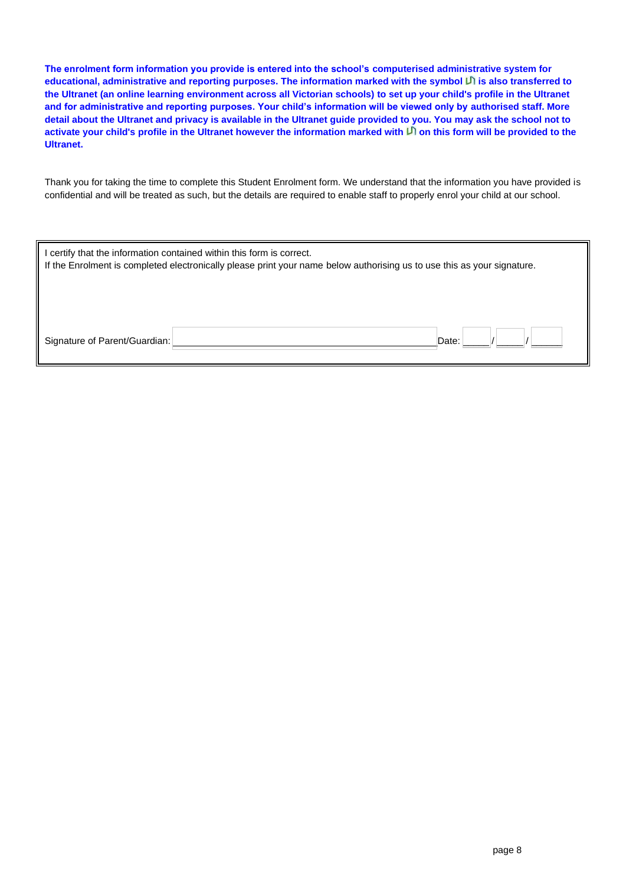**The enrolment form information you provide is entered into the school's computerised administrative system for educational, administrative and reporting purposes. The information marked with the symbol is also transferred to the Ultranet (an online learning environment across all Victorian schools) to set up your child's profile in the Ultranet and for administrative and reporting purposes. Your child's information will be viewed only by authorised staff. More detail about the Ultranet and privacy is available in the Ultranet guide provided to you. You may ask the school not to**  activate your child's profile in the Ultranet however the information marked with <sup>[1]</sup> on this form will be provided to the **Ultranet.**

Thank you for taking the time to complete this Student Enrolment form. We understand that the information you have provided is confidential and will be treated as such, but the details are required to enable staff to properly enrol your child at our school.

| I certify that the information contained within this form is correct.<br>If the Enrolment is completed electronically please print your name below authorising us to use this as your signature. |       |
|--------------------------------------------------------------------------------------------------------------------------------------------------------------------------------------------------|-------|
| Signature of Parent/Guardian:                                                                                                                                                                    | Date: |